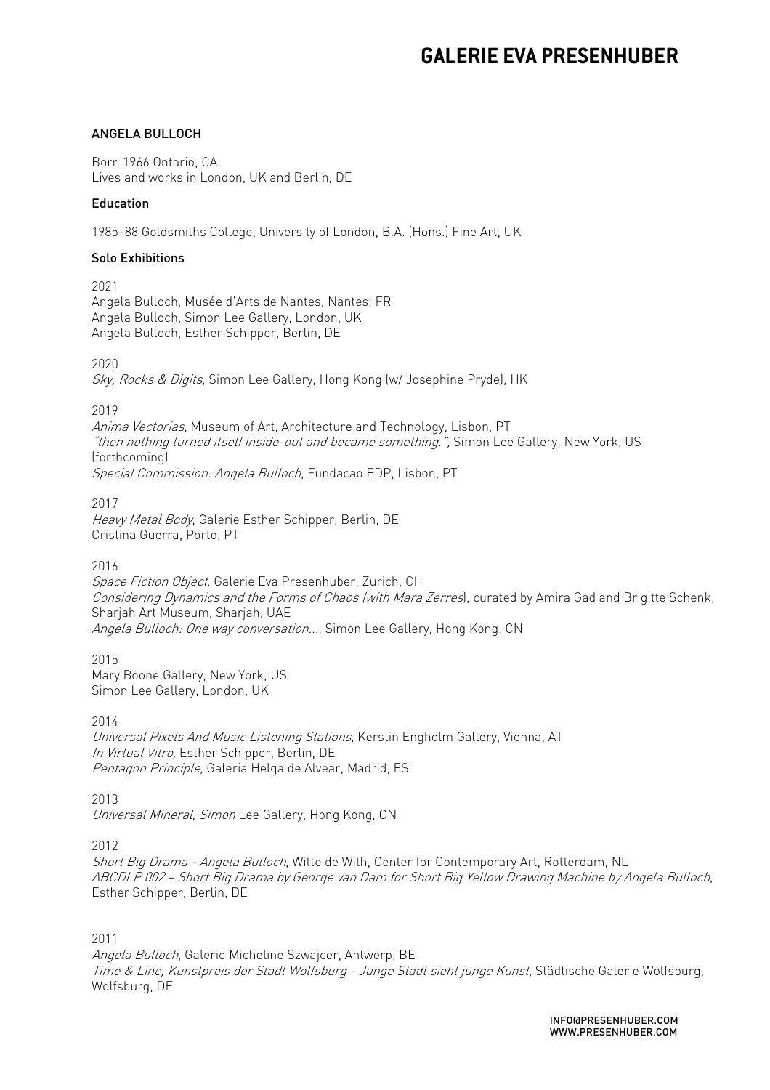### ANGELA BULLOCH

Born 1966 Ontario, CA Lives and works in London, UK and Berlin, DE

#### Education

1985–88 Goldsmiths College, University of London, B.A. (Hons.) Fine Art, UK

#### Solo Exhibitions

2021 Angela Bulloch, Musée d'Arts de Nantes, Nantes, FR Angela Bulloch, Simon Lee Gallery, London, UK Angela Bulloch, Esther Schipper, Berlin, DE

2020

Sky, Rocks & Digits, Simon Lee Gallery, Hong Kong (w/ Josephine Pryde), HK

2019

Anima Vectorias, Museum of Art, Architecture and Technology, Lisbon, PT "then nothing turned itself inside-out and became something.", Simon Lee Gallery, New York, US (forthcoming) Special Commission: Angela Bulloch, Fundacao EDP, Lisbon, PT

2017 Heavy Metal Body, Galerie Esther Schipper, Berlin, DE Cristina Guerra, Porto, PT

2016

Space Fiction Object. Galerie Eva Presenhuber, Zurich, CH Considering Dynamics and the Forms of Chaos (with Mara Zerres), curated by Amira Gad and Brigitte Schenk, Sharjah Art Museum, Sharjah, UAE Angela Bulloch: One way conversation..., Simon Lee Gallery, Hong Kong, CN

2015 Mary Boone Gallery, New York, US Simon Lee Gallery, London, UK

2014

Universal Pixels And Music Listening Stations, Kerstin Engholm Gallery, Vienna, AT In Virtual Vitro, Esther Schipper, Berlin, DE Pentagon Principle, Galeria Helga de Alvear, Madrid, ES

2013

Universal Mineral, Simon Lee Gallery, Hong Kong, CN

2012

Short Big Drama - Angela Bulloch, Witte de With, Center for Contemporary Art, Rotterdam, NL ABCDLP 002 – Short Big Drama by George van Dam for Short Big Yellow Drawing Machine by Angela Bulloch, Esther Schipper, Berlin, DE

2011

Angela Bulloch, Galerie Micheline Szwajcer, Antwerp, BE Time & Line, Kunstpreis der Stadt Wolfsburg - Junge Stadt sieht junge Kunst, Städtische Galerie Wolfsburg, Wolfsburg, DE

> INFO@PRESENHUBER.COM WWW.PRESENHUBER.COM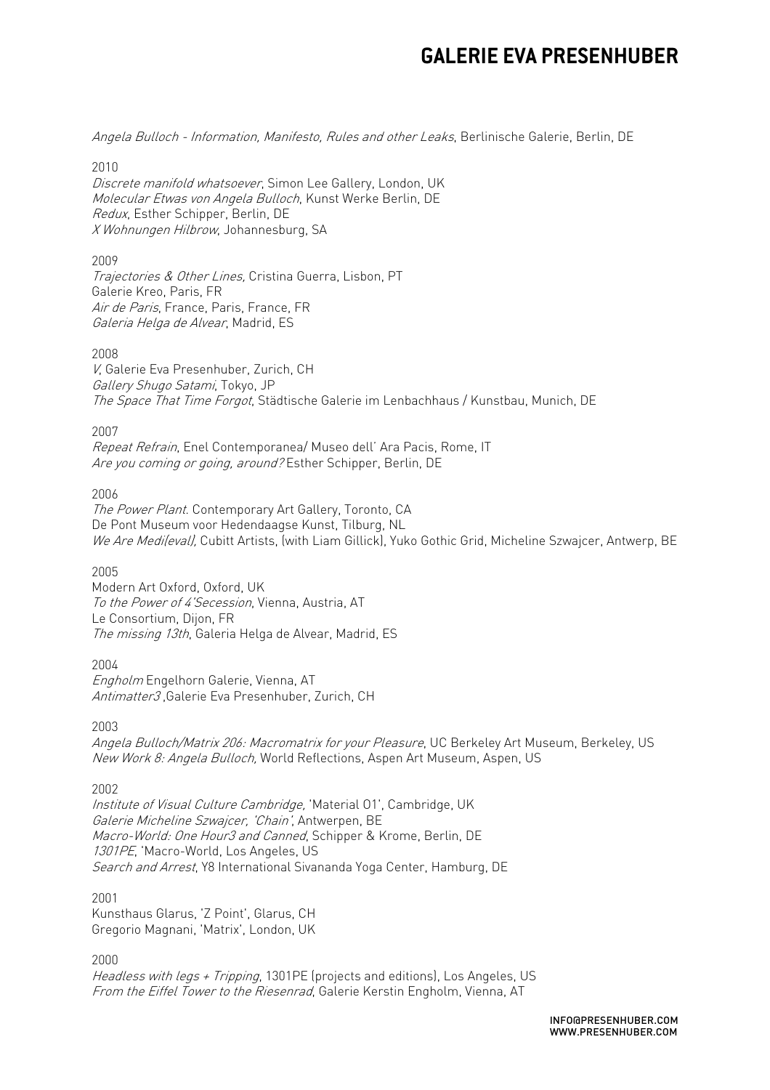Angela Bulloch - Information, Manifesto, Rules and other Leaks, Berlinische Galerie, Berlin, DE

2010

Discrete manifold whatsoever, Simon Lee Gallery, London, UK Molecular Etwas von Angela Bulloch, Kunst Werke Berlin, DE Redux, Esther Schipper, Berlin, DE X Wohnungen Hilbrow, Johannesburg, SA

2009

Trajectories & Other Lines, Cristina Guerra, Lisbon, PT Galerie Kreo, Paris, FR Air de Paris, France, Paris, France, FR Galeria Helga de Alvear, Madrid, ES

2008

V, Galerie Eva Presenhuber, Zurich, CH Gallery Shugo Satami, Tokyo, JP The Space That Time Forgot, Städtische Galerie im Lenbachhaus / Kunstbau, Munich, DE

2007

Repeat Refrain, Enel Contemporanea/ Museo dell' Ara Pacis, Rome, IT Are you coming or going, around? Esther Schipper, Berlin, DE

2006

The Power Plant. Contemporary Art Gallery, Toronto, CA De Pont Museum voor Hedendaagse Kunst, Tilburg, NL We Are Medi(eval), Cubitt Artists, (with Liam Gillick), Yuko Gothic Grid, Micheline Szwajcer, Antwerp, BE

2005

Modern Art Oxford, Oxford, UK To the Power of 4'Secession, Vienna, Austria, AT Le Consortium, Dijon, FR The missing 13th, Galeria Helga de Alvear, Madrid, ES

2004

Engholm Engelhorn Galerie, Vienna, AT Antimatter3 ,Galerie Eva Presenhuber, Zurich, CH

2003

Angela Bulloch/Matrix 206: Macromatrix for your Pleasure, UC Berkeley Art Museum, Berkeley, US New Work 8: Angela Bulloch, World Reflections, Aspen Art Museum, Aspen, US

2002

Institute of Visual Culture Cambridge, 'Material O1', Cambridge, UK Galerie Micheline Szwajcer, 'Chain', Antwerpen, BE Macro-World: One Hour3 and Canned, Schipper & Krome, Berlin, DE 1301PE, 'Macro-World, Los Angeles, US Search and Arrest, Y8 International Sivananda Yoga Center, Hamburg, DE

2001

Kunsthaus Glarus, 'Z Point', Glarus, CH Gregorio Magnani, 'Matrix', London, UK

2000

Headless with legs + Tripping, 1301PE (projects and editions), Los Angeles, US From the Eiffel Tower to the Riesenrad, Galerie Kerstin Engholm, Vienna, AT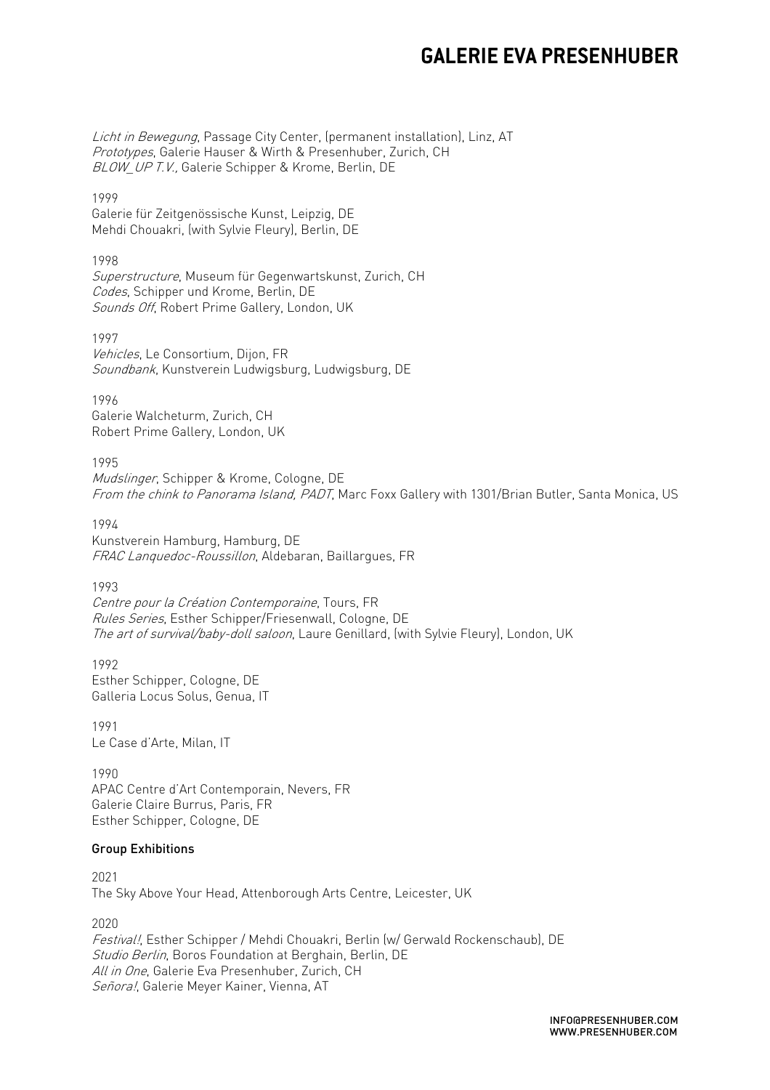Licht in Bewegung, Passage City Center, (permanent installation), Linz, AT Prototypes, Galerie Hauser & Wirth & Presenhuber, Zurich, CH BLOW, UP T.V., Galerie Schipper & Krome, Berlin, DE

1999 Galerie für Zeitgenössische Kunst, Leipzig, DE Mehdi Chouakri, (with Sylvie Fleury), Berlin, DE

#### 1998

Superstructure, Museum für Gegenwartskunst, Zurich, CH Codes, Schipper und Krome, Berlin, DE Sounds Off, Robert Prime Gallery, London, UK

1997 Vehicles, Le Consortium, Dijon, FR Soundbank, Kunstverein Ludwigsburg, Ludwigsburg, DE

1996 Galerie Walcheturm, Zurich, CH Robert Prime Gallery, London, UK

1995

Mudslinger, Schipper & Krome, Cologne, DE From the chink to Panorama Island, PADT, Marc Foxx Gallery with 1301/Brian Butler, Santa Monica, US

1994 Kunstverein Hamburg, Hamburg, DE FRAC Lanquedoc-Roussillon, Aldebaran, Baillargues, FR

1993 Centre pour la Création Contemporaine, Tours, FR Rules Series, Esther Schipper/Friesenwall, Cologne, DE The art of survival/baby-doll saloon, Laure Genillard, (with Sylvie Fleury), London, UK

1992 Esther Schipper, Cologne, DE Galleria Locus Solus, Genua, IT

1991 Le Case d'Arte, Milan, IT

1990 APAC Centre d'Art Contemporain, Nevers, FR Galerie Claire Burrus, Paris, FR Esther Schipper, Cologne, DE

### Group Exhibitions

2021 The Sky Above Your Head, Attenborough Arts Centre, Leicester, UK

2020 Festival!, Esther Schipper / Mehdi Chouakri, Berlin (w/ Gerwald Rockenschaub), DE Studio Berlin, Boros Foundation at Berghain, Berlin, DE All in One, Galerie Eva Presenhuber, Zurich, CH Señora!, Galerie Meyer Kainer, Vienna, AT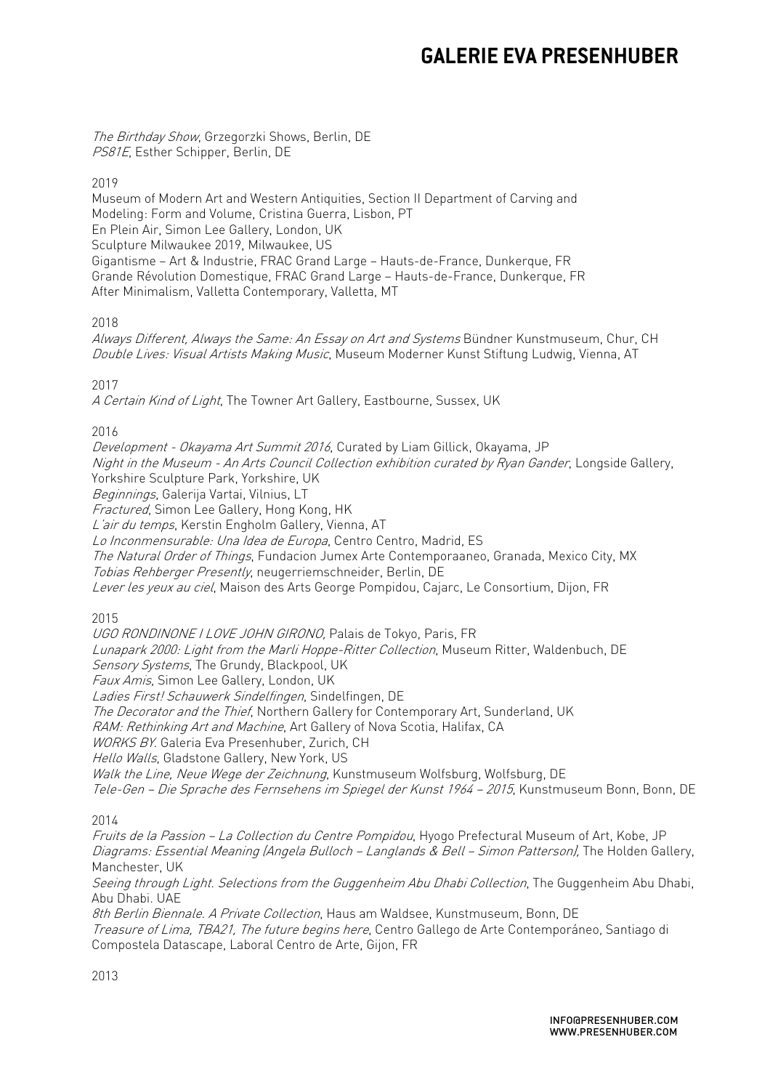The Birthday Show, Grzegorzki Shows, Berlin, DE PS81E, Esther Schipper, Berlin, DE

2019

Museum of Modern Art and Western Antiquities, Section II Department of Carving and Modeling: Form and Volume, Cristina Guerra, Lisbon, PT En Plein Air, Simon Lee Gallery, London, UK Sculpture Milwaukee 2019, Milwaukee, US Gigantisme – Art & Industrie, FRAC Grand Large – Hauts-de-France, Dunkerque, FR Grande Révolution Domestique, FRAC Grand Large – Hauts-de-France, Dunkerque, FR After Minimalism, Valletta Contemporary, Valletta, MT

2018

Always Different, Always the Same: An Essay on Art and Systems Bündner Kunstmuseum, Chur, CH Double Lives: Visual Artists Making Music, Museum Moderner Kunst Stiftung Ludwig, Vienna, AT

2017

A Certain Kind of Light, The Towner Art Gallery, Eastbourne, Sussex, UK

2016

Development - Okayama Art Summit 2016, Curated by Liam Gillick, Okayama, JP Night in the Museum - An Arts Council Collection exhibition curated by Ryan Gander, Longside Gallery, Yorkshire Sculpture Park, Yorkshire, UK Beginnings, Galerija Vartai, Vilnius, LT Fractured, Simon Lee Gallery, Hong Kong, HK L'air du temps, Kerstin Engholm Gallery, Vienna, AT Lo Inconmensurable: Una Idea de Europa, Centro Centro, Madrid, ES The Natural Order of Things, Fundacion Jumex Arte Contemporaaneo, Granada, Mexico City, MX Tobias Rehberger Presently, neugerriemschneider, Berlin, DE Lever les yeux au ciel, Maison des Arts George Pompidou, Cajarc, Le Consortium, Dijon, FR

2015

UGO RONDINONE I LOVE JOHN GIRONO, Palais de Tokyo, Paris, FR Lunapark 2000: Light from the Marli Hoppe-Ritter Collection, Museum Ritter, Waldenbuch, DE Sensory Systems, The Grundy, Blackpool, UK Faux Amis, Simon Lee Gallery, London, UK Ladies First! Schauwerk Sindelfingen, Sindelfingen, DE The Decorator and the Thief, Northern Gallery for Contemporary Art, Sunderland, UK RAM: Rethinking Art and Machine, Art Gallery of Nova Scotia, Halifax, CA WORKS BY. Galeria Eva Presenhuber, Zurich, CH Hello Walls, Gladstone Gallery, New York, US Walk the Line, Neue Wege der Zeichnung, Kunstmuseum Wolfsburg, Wolfsburg, DE Tele-Gen – Die Sprache des Fernsehens im Spiegel der Kunst 1964 – 2015, Kunstmuseum Bonn, Bonn, DE

2014

Fruits de la Passion – La Collection du Centre Pompidou, Hyogo Prefectural Museum of Art, Kobe, JP Diagrams: Essential Meaning (Angela Bulloch – Langlands & Bell – Simon Patterson), The Holden Gallery, Manchester, UK

Seeing through Light. Selections from the Guggenheim Abu Dhabi Collection, The Guggenheim Abu Dhabi, Abu Dhabi. UAE

8th Berlin Biennale. A Private Collection, Haus am Waldsee, Kunstmuseum, Bonn, DE Treasure of Lima, TBA21, The future begins here, Centro Gallego de Arte Contemporáneo, Santiago di Compostela Datascape, Laboral Centro de Arte, Gijon, FR

2013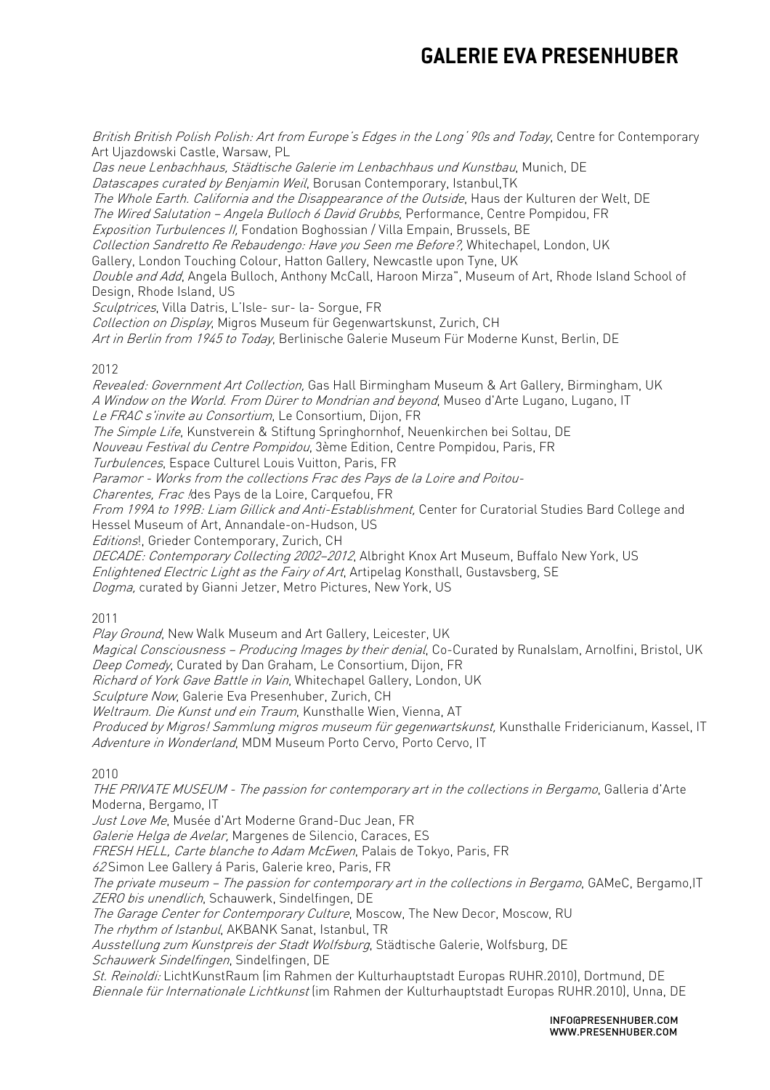British British Polish Polish: Art from Europe's Edges in the Long' 90s and Today, Centre for Contemporary Art Ujazdowski Castle, Warsaw, PL

Das neue Lenbachhaus, Städtische Galerie im Lenbachhaus und Kunstbau, Munich, DE Datascapes curated by Benjamin Weil, Borusan Contemporary, Istanbul, TK The Whole Earth. California and the Disappearance of the Outside, Haus der Kulturen der Welt, DE The Wired Salutation - Angela Bulloch 6 David Grubbs, Performance, Centre Pompidou, FR Exposition Turbulences II, Fondation Boghossian / Villa Empain, Brussels, BE Collection Sandretto Re Rebaudengo: Have you Seen me Before?, Whitechapel, London, UK Gallery, London Touching Colour, Hatton Gallery, Newcastle upon Tyne, UK Double and Add, Angela Bulloch, Anthony McCall, Haroon Mirza", Museum of Art, Rhode Island School of Design, Rhode Island, US Sculptrices, Villa Datris, L'Isle- sur- la- Sorgue, FR Collection on Display, Migros Museum für Gegenwartskunst, Zurich, CH Art in Berlin from 1945 to Today, Berlinische Galerie Museum Für Moderne Kunst, Berlin, DE 2012 Revealed: Government Art Collection, Gas Hall Birmingham Museum & Art Gallery, Birmingham, UK A Window on the World. From Dürer to Mondrian and beyond, Museo d'Arte Lugano, Lugano, IT Le FRAC s'invite au Consortium, Le Consortium, Dijon, FR The Simple Life, Kunstverein & Stiftung Springhornhof, Neuenkirchen bei Soltau, DE Nouveau Festival du Centre Pompidou, 3ème Edition, Centre Pompidou, Paris, FR Turbulences, Espace Culturel Louis Vuitton, Paris, FR Paramor - Works from the collections Frac des Pays de la Loire and Poitou-Charentes, Frac !des Pays de la Loire, Carquefou, FR From 199A to 199B: Liam Gillick and Anti-Establishment, Center for Curatorial Studies Bard College and Hessel Museum of Art, Annandale-on-Hudson, US Editions!, Grieder Contemporary, Zurich, CH DECADE: Contemporary Collecting 2002-2012, Albright Knox Art Museum, Buffalo New York, US Enlightened Electric Light as the Fairy of Art, Artipelag Konsthall, Gustavsberg, SE Dogma, curated by Gianni Jetzer, Metro Pictures, New York, US

2011

Play Ground, New Walk Museum and Art Gallery, Leicester, UK Magical Consciousness - Producing Images by their denial, Co-Curated by Runalslam, Arnolfini, Bristol, UK Deep Comedy, Curated by Dan Graham, Le Consortium, Dijon, FR

Richard of York Gave Battle in Vain, Whitechapel Gallery, London, UK

Sculpture Now, Galerie Eva Presenhuber, Zurich, CH

Weltraum. Die Kunst und ein Traum, Kunsthalle Wien, Vienna, AT

Produced by Migros! Sammlung migros museum für gegenwartskunst, Kunsthalle Fridericianum, Kassel, IT Adventure in Wonderland, MDM Museum Porto Cervo, Porto Cervo, IT

2010

THE PRIVATE MUSEUM - The passion for contemporary art in the collections in Bergamo, Galleria d'Arte Moderna, Bergamo, IT Just Love Me, Musée d'Art Moderne Grand-Duc Jean, FR

Galerie Helga de Avelar, Margenes de Silencio, Caraces, ES

FRESH HELL, Carte blanche to Adam McEwen, Palais de Tokyo, Paris, FR

62 Simon Lee Gallery á Paris, Galerie kreo, Paris, FR

The private museum – The passion for contemporary art in the collections in Bergamo, GAMeC, Bergamo,IT ZERO bis unendlich, Schauwerk, Sindelfingen, DE

The Garage Center for Contemporary Culture, Moscow, The New Decor, Moscow, RU

The rhythm of Istanbul, AKBANK Sanat, Istanbul, TR

Ausstellung zum Kunstpreis der Stadt Wolfsburg, Städtische Galerie, Wolfsburg, DE Schauwerk Sindelfingen, Sindelfingen, DE

St. Reinoldi: LichtKunstRaum (im Rahmen der Kulturhauptstadt Europas RUHR.2010), Dortmund, DE Biennale für Internationale Lichtkunst (im Rahmen der Kulturhauptstadt Europas RUHR.2010), Unna, DE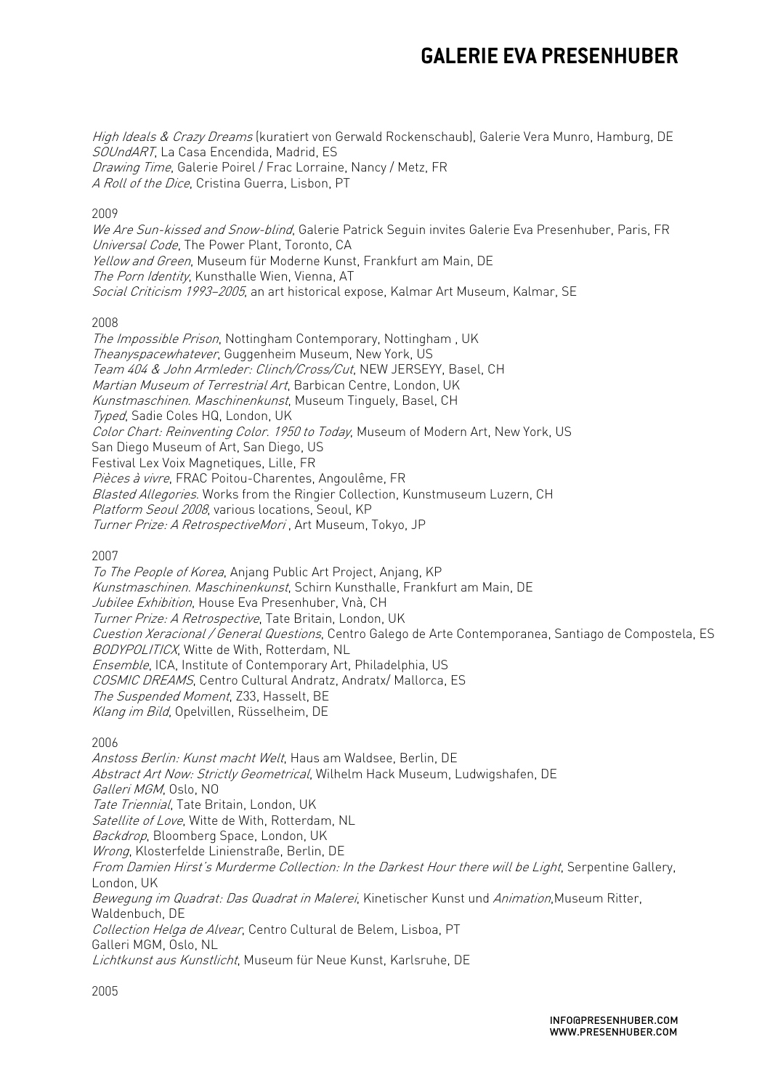High Ideals & Crazy Dreams (kuratiert von Gerwald Rockenschaub), Galerie Vera Munro, Hamburg, DE SOUndART, La Casa Encendida, Madrid, ES Drawing Time, Galerie Poirel / Frac Lorraine, Nancy / Metz, FR A Roll of the Dice, Cristina Guerra, Lisbon, PT

### 2009

We Are Sun-kissed and Snow-blind, Galerie Patrick Sequin invites Galerie Eva Presenhuber, Paris, FR Universal Code, The Power Plant, Toronto, CA Yellow and Green, Museum für Moderne Kunst, Frankfurt am Main, DE The Porn Identity, Kunsthalle Wien, Vienna, AT Social Criticism 1993–2005, an art historical expose, Kalmar Art Museum, Kalmar, SE

### 2008

The Impossible Prison, Nottingham Contemporary, Nottingham , UK Theanyspacewhatever, Guggenheim Museum, New York, US Team 404 & John Armleder: Clinch/Cross/Cut, NEW JERSEYY, Basel, CH Martian Museum of Terrestrial Art, Barbican Centre, London, UK Kunstmaschinen. Maschinenkunst, Museum Tinguely, Basel, CH Typed, Sadie Coles HQ, London, UK Color Chart: Reinventing Color. 1950 to Today, Museum of Modern Art, New York, US San Diego Museum of Art, San Diego, US Festival Lex Voix Magnetiques, Lille, FR Pièces à vivre, FRAC Poitou-Charentes, Angoulême, FR Blasted Allegories. Works from the Ringier Collection, Kunstmuseum Luzern, CH Platform Seoul 2008, various locations, Seoul, KP Turner Prize: A RetrospectiveMori , Art Museum, Tokyo, JP

2007

To The People of Korea, Anjang Public Art Project, Anjang, KP Kunstmaschinen. Maschinenkunst, Schirn Kunsthalle, Frankfurt am Main, DE Jubilee Exhibition, House Eva Presenhuber, Vnà, CH Turner Prize: A Retrospective, Tate Britain, London, UK Cuestion Xeracional / General Questions, Centro Galego de Arte Contemporanea, Santiago de Compostela, ES BODYPOLITICX, Witte de With, Rotterdam, NL Ensemble, ICA, Institute of Contemporary Art, Philadelphia, US COSMIC DREAMS, Centro Cultural Andratz, Andratx/ Mallorca, ES The Suspended Moment, Z33, Hasselt, BE Klang im Bild, Opelvillen, Rüsselheim, DE

2006

Anstoss Berlin: Kunst macht Welt, Haus am Waldsee, Berlin, DE Abstract Art Now: Strictly Geometrical, Wilhelm Hack Museum, Ludwigshafen, DE Galleri MGM, Oslo, NO Tate Triennial, Tate Britain, London, UK Satellite of Love, Witte de With, Rotterdam, NL Backdrop, Bloomberg Space, London, UK Wrong, Klosterfelde Linienstraße, Berlin, DE From Damien Hirst's Murderme Collection: In the Darkest Hour there will be Light, Serpentine Gallery, London, UK Bewegung im Quadrat: Das Quadrat in Malerei, Kinetischer Kunst und Animation, Museum Ritter, Waldenbuch, DE Collection Helga de Alvear, Centro Cultural de Belem, Lisboa, PT Galleri MGM, Oslo, NL Lichtkunst aus Kunstlicht, Museum für Neue Kunst, Karlsruhe, DE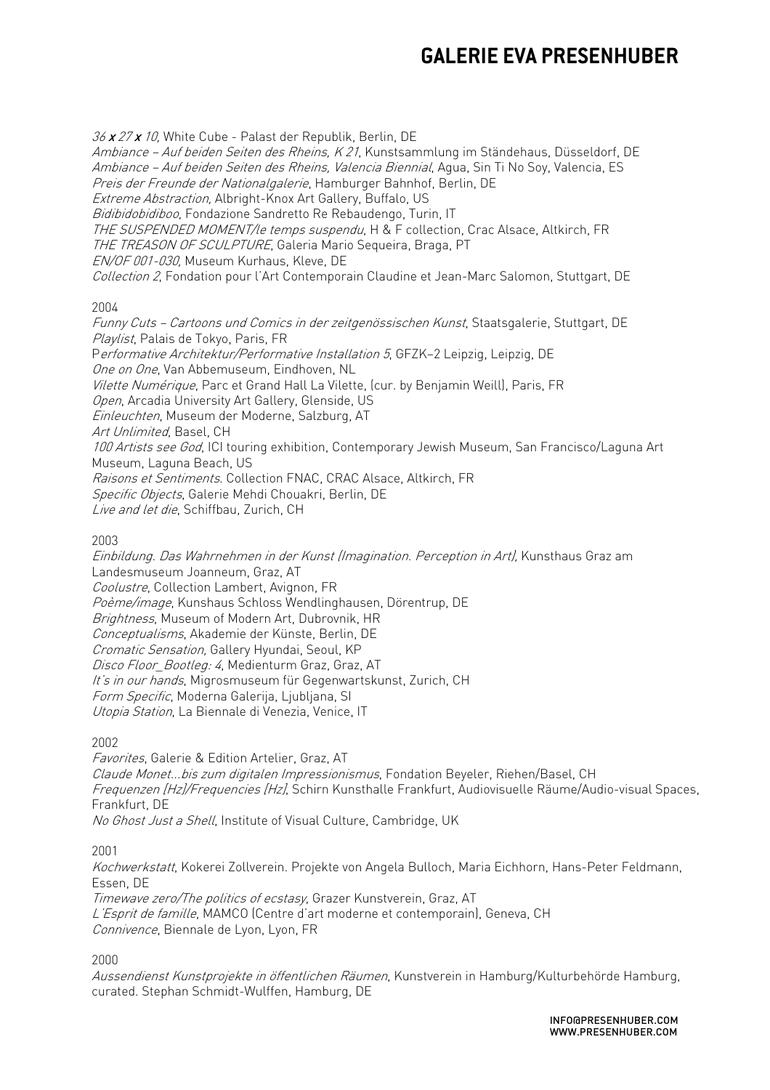36 x 27 x 10, White Cube - Palast der Republik, Berlin, DE Ambiance – Auf beiden Seiten des Rheins, K 21, Kunstsammlung im Ständehaus, Düsseldorf, DE Ambiance – Auf beiden Seiten des Rheins, Valencia Biennial, Agua, Sin Ti No Soy, Valencia, ES Preis der Freunde der Nationalgalerie, Hamburger Bahnhof, Berlin, DE Extreme Abstraction, Albright-Knox Art Gallery, Buffalo, US Bidibidobidiboo, Fondazione Sandretto Re Rebaudengo, Turin, IT THE SUSPENDED MOMENT/le temps suspendu, H & F collection, Crac Alsace, Altkirch, FR THE TREASON OF SCULPTURE, Galeria Mario Sequeira, Braga, PT EN/OF 001-030, Museum Kurhaus, Kleve, DE Collection 2, Fondation pour l'Art Contemporain Claudine et Jean-Marc Salomon, Stuttgart, DE

### 2004

Funny Cuts – Cartoons und Comics in der zeitgenössischen Kunst, Staatsgalerie, Stuttgart, DE Playlist, Palais de Tokyo, Paris, FR Performative Architektur/Performative Installation 5, GFZK-2 Leipzig, Leipzig, DE One on One, Van Abbemuseum, Eindhoven, NL Vilette Numérique, Parc et Grand Hall La Vilette, (cur. by Benjamin Weill), Paris, FR Open, Arcadia University Art Gallery, Glenside, US Einleuchten, Museum der Moderne, Salzburg, AT Art Unlimited, Basel, CH 100 Artists see God, ICI touring exhibition, Contemporary Jewish Museum, San Francisco/Laguna Art Museum, Laguna Beach, US Raisons et Sentiments. Collection FNAC, CRAC Alsace, Altkirch, FR Specific Objects, Galerie Mehdi Chouakri, Berlin, DE Live and let die, Schiffbau, Zurich, CH

### 2003

Einbildung. Das Wahrnehmen in der Kunst (Imagination. Perception in Art), Kunsthaus Graz am Landesmuseum Joanneum, Graz, AT Coolustre, Collection Lambert, Avignon, FR Poème/image, Kunshaus Schloss Wendlinghausen, Dörentrup, DE Brightness, Museum of Modern Art, Dubrovnik, HR Conceptualisms, Akademie der Künste, Berlin, DE Cromatic Sensation, Gallery Hyundai, Seoul, KP Disco Floor Bootleg: 4, Medienturm Graz, Graz, AT It's in our hands, Migrosmuseum für Gegenwartskunst, Zurich, CH Form Specific, Moderna Galerija, Ljubljana, SI Utopia Station, La Biennale di Venezia, Venice, IT

### 2002

Favorites, Galerie & Edition Artelier, Graz, AT Claude Monet...bis zum digitalen Impressionismus, Fondation Beyeler, Riehen/Basel, CH Frequenzen [Hz]/Frequencies [Hz], Schirn Kunsthalle Frankfurt, Audiovisuelle Räume/Audio-visual Spaces, Frankfurt, DE No Ghost Just a Shell, Institute of Visual Culture, Cambridge, UK

2001

Kochwerkstatt, Kokerei Zollverein. Projekte von Angela Bulloch, Maria Eichhorn, Hans-Peter Feldmann, Essen, DE

Timewave zero/The politics of ecstasy, Grazer Kunstverein, Graz, AT L'Esprit de famille, MAMCO (Centre d'art moderne et contemporain), Geneva, CH Connivence, Biennale de Lyon, Lyon, FR

2000

Aussendienst Kunstprojekte in öffentlichen Räumen, Kunstverein in Hamburg/Kulturbehörde Hamburg, curated. Stephan Schmidt-Wulffen, Hamburg, DE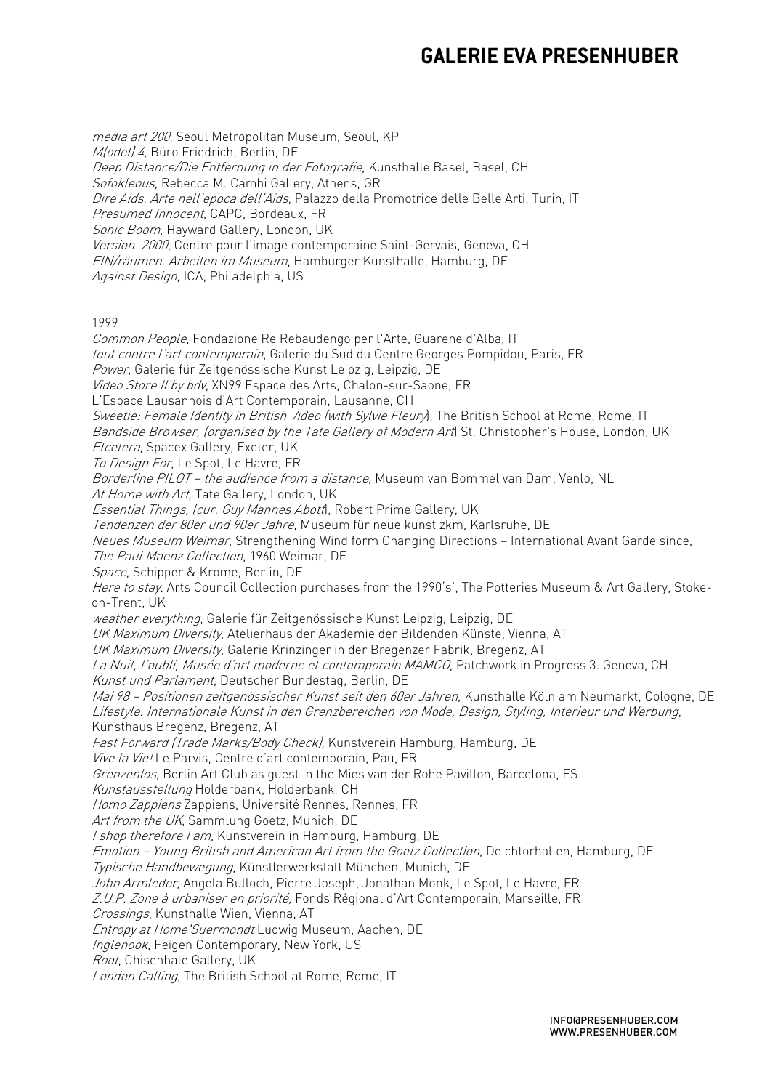media art 200, Seoul Metropolitan Museum, Seoul, KP M(odel) 4, Büro Friedrich, Berlin, DE Deep Distance/Die Entfernung in der Fotografie, Kunsthalle Basel, Basel, CH Sofokleous, Rebecca M. Camhi Gallery, Athens, GR Dire Aids. Arte nell'epoca dell'Aids. Palazzo della Promotrice delle Belle Arti, Turin, IT Presumed Innocent, CAPC, Bordeaux, FR Sonic Boom, Hayward Gallery, London, UK Version 2000, Centre pour l'image contemporaine Saint-Gervais, Geneva, CH EIN/räumen. Arbeiten im Museum, Hamburger Kunsthalle, Hamburg, DE Against Design, ICA, Philadelphia, US 1999 Common People, Fondazione Re Rebaudengo per l'Arte, Guarene d'Alba, IT tout contre l'art contemporain. Galerie du Sud du Centre Georges Pompidou, Paris, FR Power, Galerie für Zeitgenössische Kunst Leipzig, Leipzig, DE Video Store II'by bdv, XN99 Espace des Arts, Chalon-sur-Saone, FR L'Espace Lausannois d'Art Contemporain, Lausanne, CH Sweetie: Female Identity in British Video (with Sylvie Fleury), The British School at Rome, Rome, IT Bandside Browser, (organised by the Tate Gallery of Modern Art) St. Christopher's House, London, UK Etcetera, Spacex Gallery, Exeter, UK To Design For, Le Spot, Le Havre, FR Borderline PILOT – the audience from a distance, Museum van Bommel van Dam, Venlo, NL At Home with Art, Tate Gallery, London, UK Essential Things, (cur. Guy Mannes Abott), Robert Prime Gallery, UK Tendenzen der 80er und 90er Jahre, Museum für neue kunst zkm, Karlsruhe, DE Neues Museum Weimar, Strengthening Wind form Changing Directions - International Avant Garde since, The Paul Maenz Collection, 1960 Weimar, DE Space, Schipper & Krome, Berlin, DE Here to stay. Arts Council Collection purchases from the 1990's', The Potteries Museum & Art Gallery, Stokeon-Trent, UK weather everything, Galerie für Zeitgenössische Kunst Leipzig, Leipzig, DE UK Maximum Diversity, Atelierhaus der Akademie der Bildenden Künste, Vienna, AT UK Maximum Diversity, Galerie Krinzinger in der Bregenzer Fabrik, Bregenz, AT La Nuit, l'oubli, Musée d'art moderne et contemporain MAMCO, Patchwork in Progress 3. Geneva, CH Kunst und Parlament, Deutscher Bundestag, Berlin, DE Mai 98 – Positionen zeitgenössischer Kunst seit den 60er Jahren, Kunsthalle Köln am Neumarkt, Cologne, DE Lifestyle. Internationale Kunst in den Grenzbereichen von Mode, Design, Styling, Interieur und Werbung, Kunsthaus Bregenz, Bregenz, AT Fast Forward (Trade Marks/Body Check), Kunstverein Hamburg, Hamburg, DE Vive la Vie! Le Parvis, Centre d'art contemporain, Pau, FR Grenzenlos, Berlin Art Club as guest in the Mies van der Rohe Pavillon, Barcelona, ES Kunstausstellung Holderbank, Holderbank, CH Homo Zappiens Zappiens, Université Rennes, Rennes, FR Art from the UK, Sammlung Goetz, Munich, DE I shop therefore I am, Kunstverein in Hamburg, Hamburg, DE Emotion – Young British and American Art from the Goetz Collection, Deichtorhallen, Hamburg, DE Typische Handbewegung, Künstlerwerkstatt München, Munich, DE John Armleder, Angela Bulloch, Pierre Joseph, Jonathan Monk, Le Spot, Le Havre, FR Z.U.P. Zone à urbaniser en priorité, Fonds Régional d'Art Contemporain, Marseille, FR Crossings, Kunsthalle Wien, Vienna, AT Entropy at Home'Suermondt Ludwig Museum, Aachen, DE Inglenook, Feigen Contemporary, New York, US Root, Chisenhale Gallery, UK London Calling, The British School at Rome, Rome, IT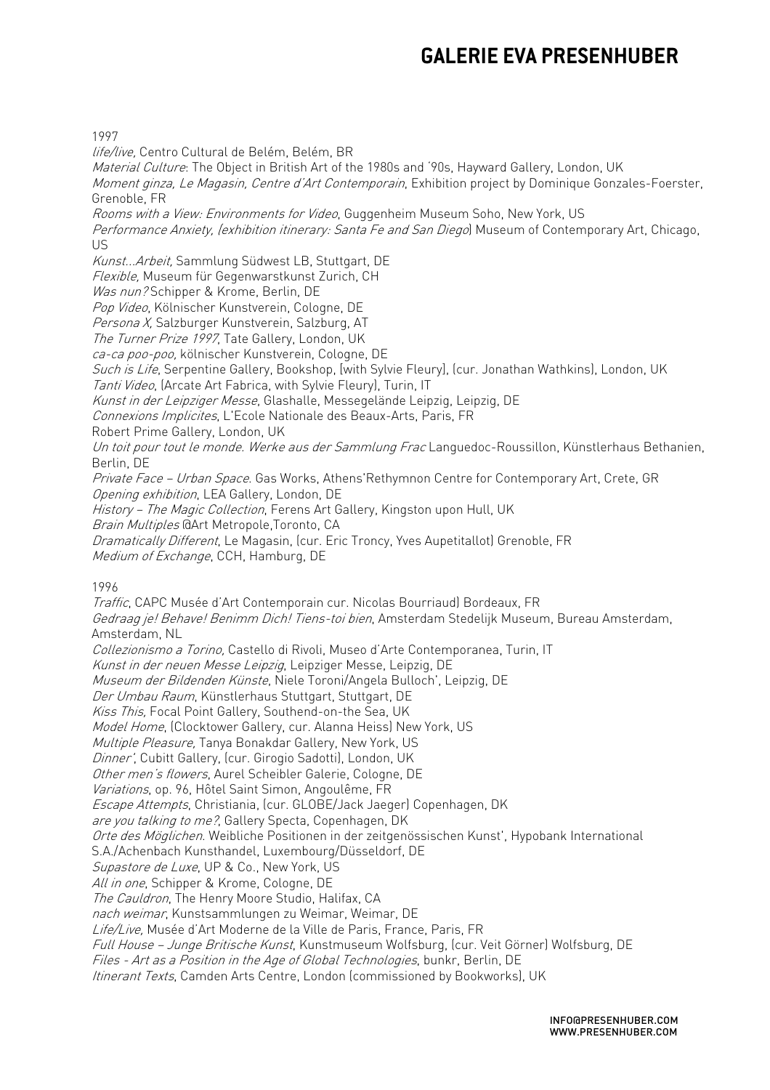1997

life/live, Centro Cultural de Belém, Belém, BR Material Culture: The Object in British Art of the 1980s and '90s, Hayward Gallery, London, UK Moment ginza, Le Magasin, Centre d'Art Contemporain, Exhibition project by Dominique Gonzales-Foerster, Grenoble, FR Rooms with a View: Environments for Video, Guggenheim Museum Soho, New York, US Performance Anxiety, (exhibition itinerary: Santa Fe and San Diego) Museum of Contemporary Art, Chicago, US Kunst...Arbeit, Sammlung Südwest LB, Stuttgart, DE Flexible, Museum für Gegenwarstkunst Zurich, CH Was nun? Schipper & Krome, Berlin, DE Pop Video, Kölnischer Kunstverein, Cologne, DE Persona X, Salzburger Kunstverein, Salzburg, AT The Turner Prize 1997, Tate Gallery, London, UK ca-ca poo-poo, kölnischer Kunstverein, Cologne, DE Such is Life, Serpentine Gallery, Bookshop, [with Sylvie Fleury], [cur. Jonathan Wathkins], London, UK Tanti Video, (Arcate Art Fabrica, with Sylvie Fleury), Turin, IT Kunst in der Leipziger Messe, Glashalle, Messegelände Leipzig, Leipzig, DE Connexions Implicites, L'Ecole Nationale des Beaux-Arts, Paris, FR Robert Prime Gallery, London, UK Un toit pour tout le monde. Werke aus der Sammlung Frac Languedoc-Roussillon, Künstlerhaus Bethanien, Berlin, DE Private Face - Urban Space, Gas Works, Athens' Rethymnon Centre for Contemporary Art, Crete, GR Opening exhibition, LEA Gallery, London, DE History – The Magic Collection, Ferens Art Gallery, Kingston upon Hull, UK Brain Multiples @Art Metropole,Toronto, CA Dramatically Different, Le Magasin, (cur. Eric Troncy, Yves Aupetitallot) Grenoble, FR Medium of Exchange, CCH, Hamburg, DE Traffic, CAPC Musée d'Art Contemporain cur. Nicolas Bourriaud) Bordeaux, FR

1996

Gedraag je! Behave! Benimm Dich! Tiens-toi bien, Amsterdam Stedelijk Museum, Bureau Amsterdam, Amsterdam, NL Collezionismo a Torino, Castello di Rivoli, Museo d'Arte Contemporanea, Turin, IT Kunst in der neuen Messe Leipzig, Leipziger Messe, Leipzig, DE Museum der Bildenden Künste, Niele Toroni/Angela Bulloch', Leipzig, DE Der Umbau Raum, Künstlerhaus Stuttgart, Stuttgart, DE Kiss This, Focal Point Gallery, Southend-on-the Sea, UK Model Home, (Clocktower Gallery, cur. Alanna Heiss) New York, US Multiple Pleasure, Tanya Bonakdar Gallery, New York, US Dinner', Cubitt Gallery, (cur. Girogio Sadotti), London, UK Other men's flowers, Aurel Scheibler Galerie, Cologne, DE Variations, op. 96, Hôtel Saint Simon, Angoulême, FR Escape Attempts, Christiania, (cur. GLOBE/Jack Jaeger) Copenhagen, DK are you talking to me?, Gallery Specta, Copenhagen, DK Orte des Möglichen. Weibliche Positionen in der zeitgenössischen Kunst', Hypobank International S.A./Achenbach Kunsthandel, Luxembourg/Düsseldorf, DE Supastore de Luxe, UP & Co., New York, US All in one, Schipper & Krome, Cologne, DE The Cauldron, The Henry Moore Studio, Halifax, CA nach weimar, Kunstsammlungen zu Weimar, Weimar, DE Life/Live, Musée d'Art Moderne de la Ville de Paris, France, Paris, FR Full House – Junge Britische Kunst, Kunstmuseum Wolfsburg, (cur. Veit Görner) Wolfsburg, DE Files - Art as a Position in the Age of Global Technologies, bunkr, Berlin, DE Itinerant Texts, Camden Arts Centre, London (commissioned by Bookworks), UK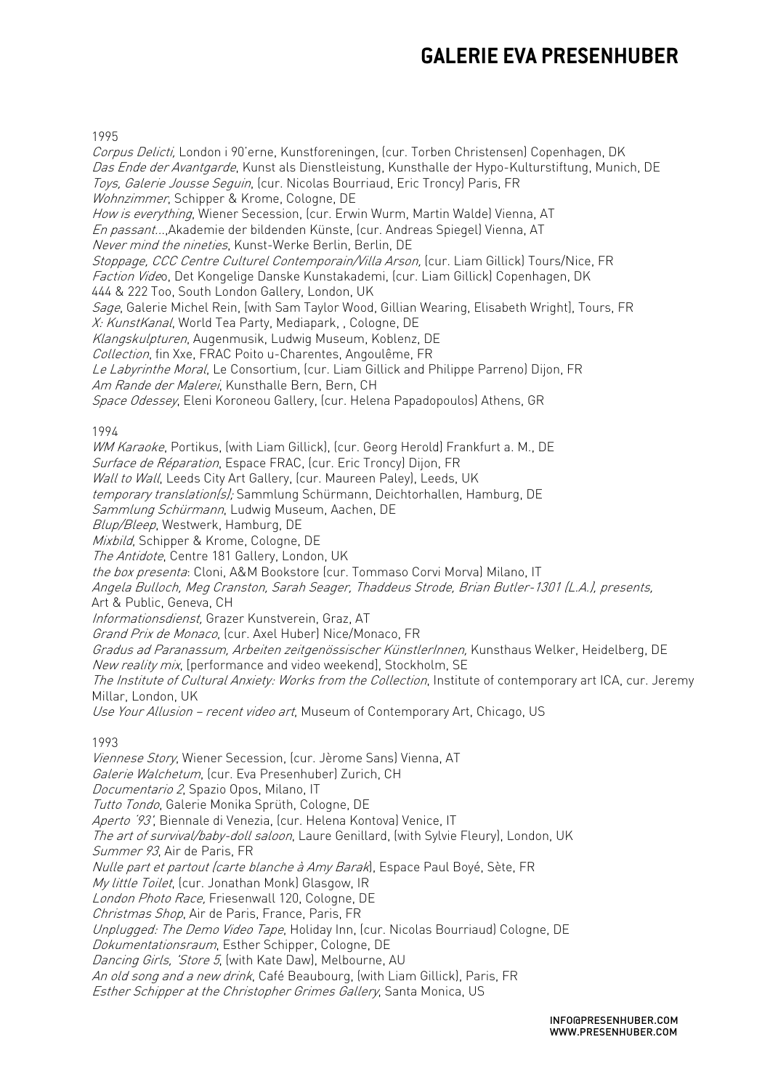#### 1995

Corpus Delicti, London i 90'erne, Kunstforeningen, (cur. Torben Christensen) Copenhagen, DK Das Ende der Avantgarde, Kunst als Dienstleistung, Kunsthalle der Hypo-Kulturstiftung, Munich, DE Toys, Galerie Jousse Seguin, (cur. Nicolas Bourriaud, Eric Troncy) Paris, FR Wohnzimmer, Schipper & Krome, Cologne, DE How is everything, Wiener Secession, (cur. Erwin Wurm, Martin Walde) Vienna, AT En passant...,Akademie der bildenden Künste, (cur. Andreas Spiegel) Vienna, AT Never mind the nineties, Kunst-Werke Berlin, Berlin, DE Stoppage, CCC Centre Culturel Contemporain/Villa Arson, (cur. Liam Gillick) Tours/Nice, FR Faction Video, Det Kongelige Danske Kunstakademi, (cur. Liam Gillick) Copenhagen, DK 444 & 222 Too, South London Gallery, London, UK Sage, Galerie Michel Rein, [with Sam Taylor Wood, Gillian Wearing, Elisabeth Wright], Tours, FR X: KunstKanal, World Tea Party, Mediapark, , Cologne, DE Klangskulpturen, Augenmusik, Ludwig Museum, Koblenz, DE Collection, fin Xxe, FRAC Poito u-Charentes, Angoulême, FR Le Labyrinthe Moral, Le Consortium, (cur. Liam Gillick and Philippe Parreno) Dijon, FR Am Rande der Malerei, Kunsthalle Bern, Bern, CH Space Odessey, Eleni Koroneou Gallery, (cur. Helena Papadopoulos) Athens, GR 1994 WM Karaoke, Portikus, (with Liam Gillick), (cur. Georg Herold) Frankfurt a. M., DE Surface de Réparation, Espace FRAC, (cur. Eric Troncyl Dijon, FR Wall to Wall, Leeds City Art Gallery, (cur. Maureen Paley), Leeds, UK temporary translation(s); Sammlung Schürmann, Deichtorhallen, Hamburg, DE Sammlung Schürmann, Ludwig Museum, Aachen, DE Blup/Bleep, Westwerk, Hamburg, DE Mixbild, Schipper & Krome, Cologne, DE The Antidote, Centre 181 Gallery, London, UK the box presenta: Cloni, A&M Bookstore (cur. Tommaso Corvi Morva) Milano, IT Angela Bulloch, Meg Cranston, Sarah Seager, Thaddeus Strode, Brian Butler-1301 (L.A.), presents, Art & Public, Geneva, CH Informationsdienst, Grazer Kunstverein, Graz, AT Grand Prix de Monaco, (cur. Axel Huber) Nice/Monaco, FR Gradus ad Paranassum, Arbeiten zeitgenössischer KünstlerInnen, Kunsthaus Welker, Heidelberg, DE New reality mix, [performance and video weekend], Stockholm, SE The Institute of Cultural Anxiety: Works from the Collection, Institute of contemporary art ICA, cur. Jeremy Millar, London, UK Use Your Allusion – recent video art, Museum of Contemporary Art, Chicago, US 1993 Viennese Story, Wiener Secession, (cur. Jèrome Sans) Vienna, AT Galerie Walchetum, (cur. Eva Presenhuber) Zurich, CH Documentario 2, Spazio Opos, Milano, IT Tutto Tondo, Galerie Monika Sprüth, Cologne, DE Aperto '93', Biennale di Venezia, (cur. Helena Kontova) Venice, IT The art of survival/baby-doll saloon, Laure Genillard, (with Sylvie Fleury), London, UK Summer 93, Air de Paris, FR Nulle part et partout (carte blanche à Amy Barak), Espace Paul Boyé, Sète, FR My little Toilet, (cur. Jonathan Monk) Glasgow, IR London Photo Race, Friesenwall 120, Cologne, DE Christmas Shop, Air de Paris, France, Paris, FR Unplugged: The Demo Video Tape, Holiday Inn, (cur. Nicolas Bourriaud) Cologne, DE Dokumentationsraum, Esther Schipper, Cologne, DE Dancing Girls, 'Store 5, (with Kate Daw), Melbourne, AU

An old song and a new drink, Café Beaubourg, (with Liam Gillick), Paris, FR

Esther Schipper at the Christopher Grimes Gallery, Santa Monica, US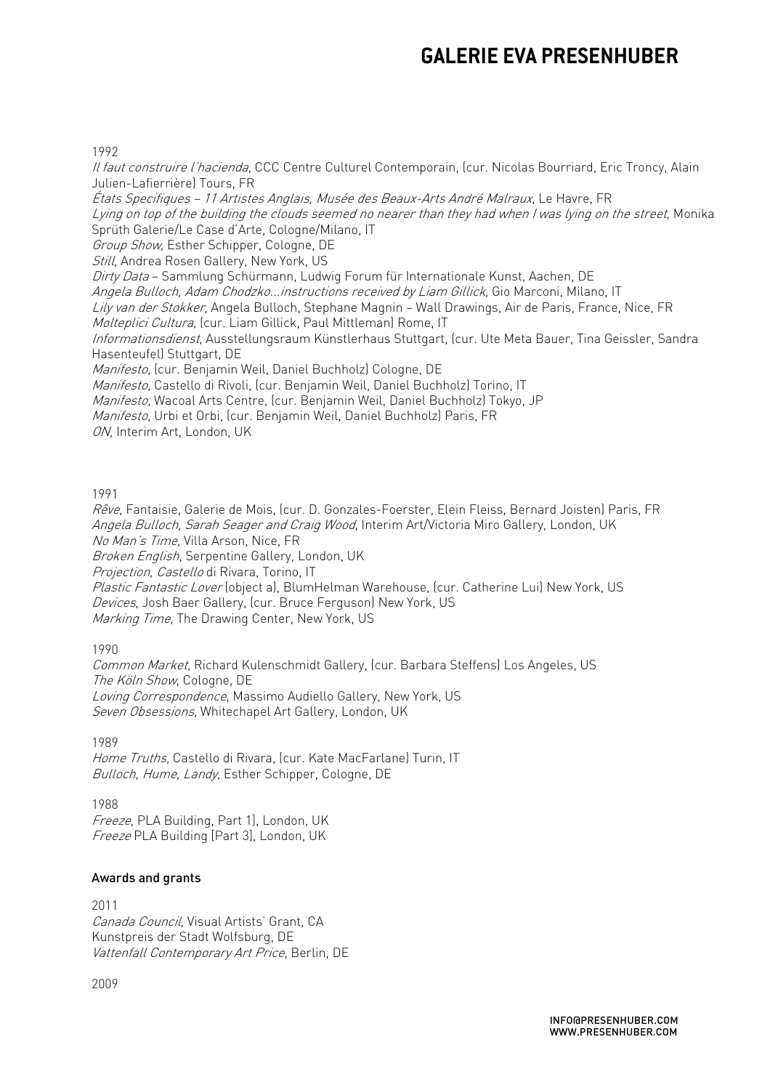#### 1992

Il faut construire l'hacienda, CCC Centre Culturel Contemporain, (cur. Nicolas Bourriard, Eric Troncy, Alain Julien-Lafierrière) Tours, FR

États Specifiques – 11 Artistes Anglais, Musée des Beaux-Arts André Malraux, Le Havre, FR Lying on top of the building the clouds seemed no nearer than they had when I was lying on the street, Monika Sprüth Galerie/Le Case d'Arte, Cologne/Milano, IT Group Show, Esther Schipper, Cologne, DE Still, Andrea Rosen Gallery, New York, US Dirty Data – Sammlung Schürmann, Ludwig Forum für Internationale Kunst, Aachen, DE Angela Bulloch, Adam Chodzko...instructions received by Liam Gillick, Gio Marconi, Milano, IT Lily van der Stokker, Angela Bulloch, Stephane Magnin – Wall Drawings, Air de Paris, France, Nice, FR Molteplici Cultura, (cur. Liam Gillick, Paul Mittleman) Rome, IT Informationsdienst, Ausstellungsraum Künstlerhaus Stuttgart, (cur. Ute Meta Bauer, Tina Geissler, Sandra Hasenteufel) Stuttgart, DE Manifesto, (cur. Benjamin Weil, Daniel Buchholz) Cologne, DE Manifesto, Castello di Rivoli, (cur. Benjamin Weil, Daniel Buchholz) Torino, IT Manifesto, Wacoal Arts Centre, (cur. Benjamin Weil, Daniel Buchholz) Tokyo, JP Manifesto, Urbi et Orbi, (cur. Benjamin Weil, Daniel Buchholz) Paris, FR ON, Interim Art, London, UK

#### 1991

Rêve, Fantaisie, Galerie de Mois, (cur. D. Gonzales-Foerster, Elein Fleiss, Bernard Joisten) Paris, FR Angela Bulloch, Sarah Seager and Craig Wood, Interim Art/Victoria Miro Gallery, London, UK No Man's Time, Villa Arson, Nice, FR Broken English, Serpentine Gallery, London, UK Projection, Castello di Rivara, Torino, IT Plastic Fantastic Lover (object a), BlumHelman Warehouse, (cur. Catherine Lui) New York, US

Devices, Josh Baer Gallery, (cur. Bruce Ferguson) New York, US

Marking Time, The Drawing Center, New York, US

1990

Common Market, Richard Kulenschmidt Gallery, (cur. Barbara Steffens) Los Angeles, US The Köln Show, Cologne, DE Loving Correspondence, Massimo Audiello Gallery, New York, US Seven Obsessions, Whitechapel Art Gallery, London, UK

1989

Home Truths, Castello di Rivara, (cur. Kate MacFarlane) Turin, IT Bulloch, Hume, Landy, Esther Schipper, Cologne, DE

1988 Freeze, PLA Building, Part 1], London, UK Freeze PLA Building [Part 3], London, UK

### Awards and grants

2011 Canada Council, Visual Artists' Grant, CA Kunstpreis der Stadt Wolfsburg, DE Vattenfall Contemporary Art Price, Berlin, DE

2009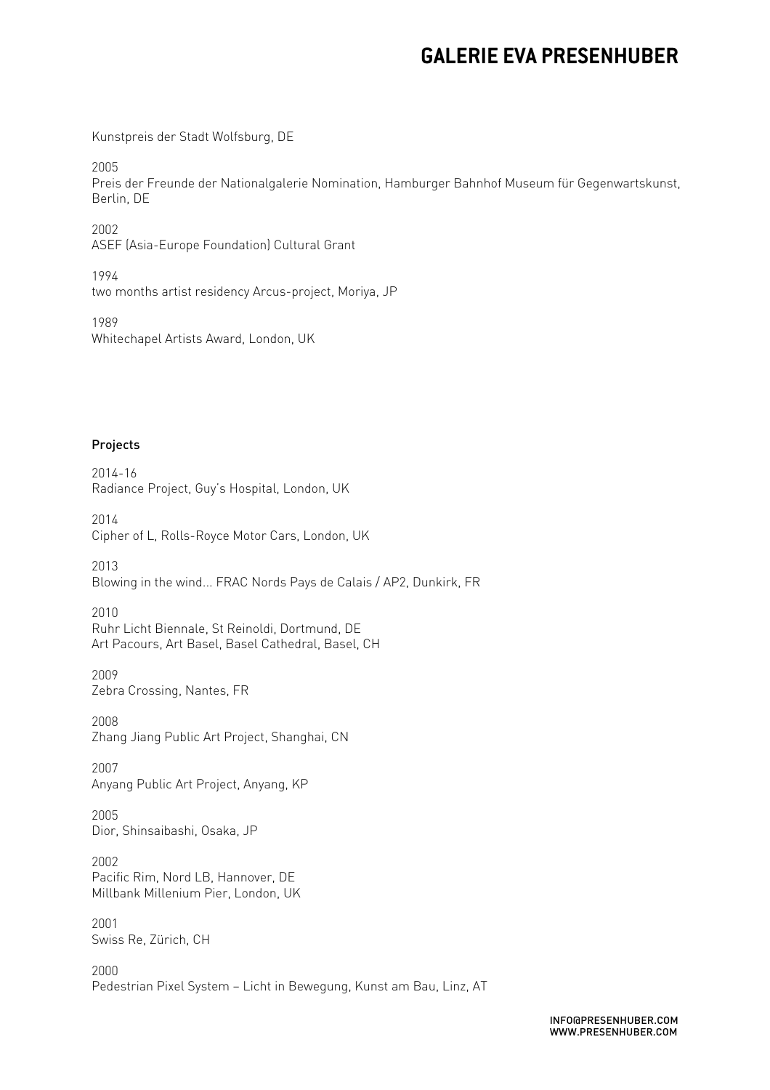Kunstpreis der Stadt Wolfsburg, DE

2005

Preis der Freunde der Nationalgalerie Nomination, Hamburger Bahnhof Museum für Gegenwartskunst, Berlin, DE

2002 ASEF (Asia-Europe Foundation) Cultural Grant

1994 two months artist residency Arcus-project, Moriya, JP

1989 Whitechapel Artists Award, London, UK

### Projects

2014-16 Radiance Project, Guy's Hospital, London, UK

2014 Cipher of L, Rolls-Royce Motor Cars, London, UK

2013 Blowing in the wind... FRAC Nords Pays de Calais / AP2, Dunkirk, FR

2010 Ruhr Licht Biennale, St Reinoldi, Dortmund, DE Art Pacours, Art Basel, Basel Cathedral, Basel, CH

2009 Zebra Crossing, Nantes, FR

2008 Zhang Jiang Public Art Project, Shanghai, CN

2007 Anyang Public Art Project, Anyang, KP

2005 Dior, Shinsaibashi, Osaka, JP

2002 Pacific Rim, Nord LB, Hannover, DE Millbank Millenium Pier, London, UK

2001 Swiss Re, Zürich, CH

2000 Pedestrian Pixel System – Licht in Bewegung, Kunst am Bau, Linz, AT